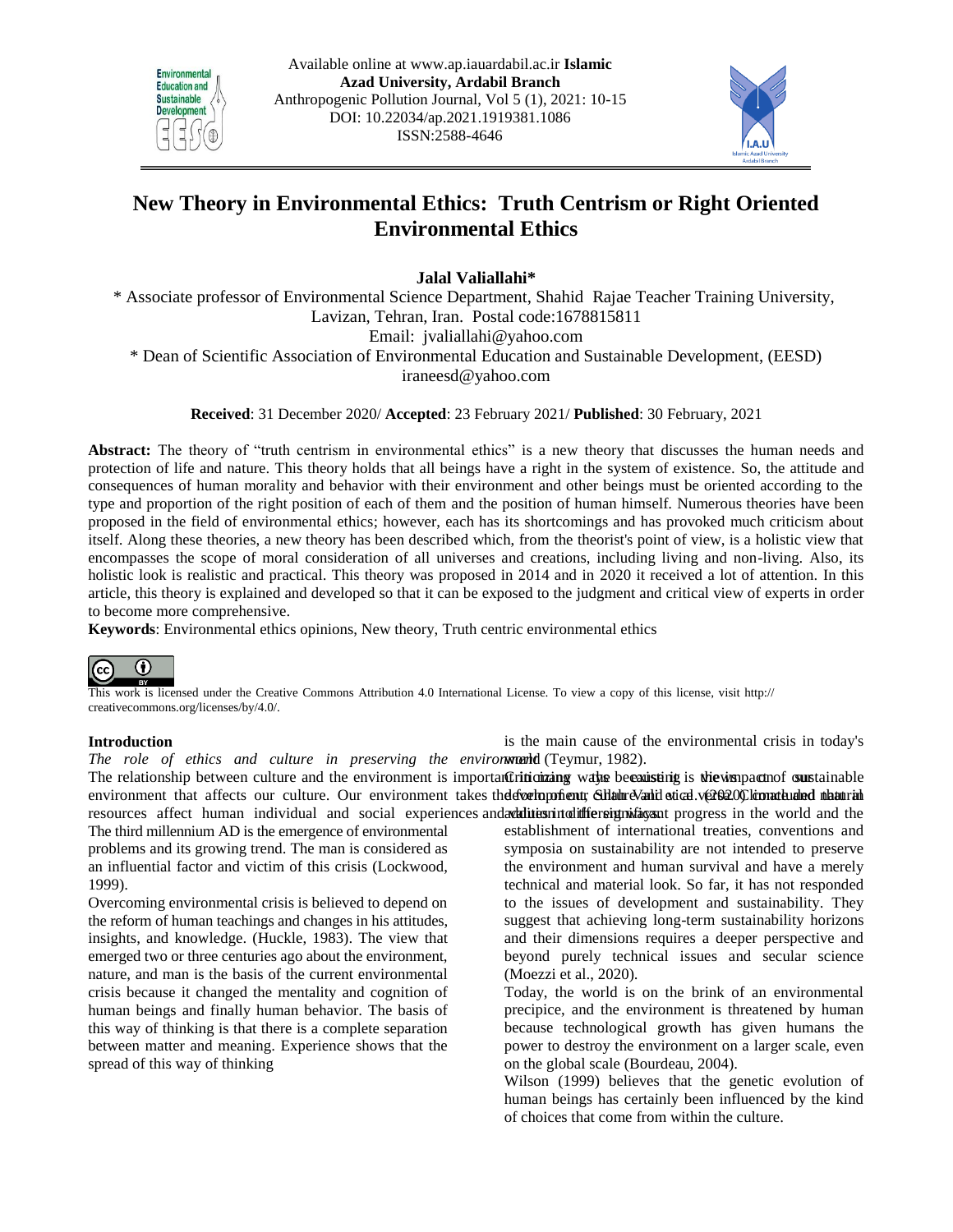



# **New Theory in Environmental Ethics: Truth Centrism or Right Oriented Environmental Ethics**

**Jalal Valiallahi\*** 

\* Associate professor of Environmental Science Department, Shahid Rajae Teacher Training University, Lavizan, Tehran, Iran. Postal code:1678815811 Email: [jvaliallahi@yahoo.com](mailto:jvaliallahi@yahoo.com) \* Dean of Scientific Association of Environmental Education and Sustainable Development, (EESD)

[iraneesd@yahoo.com](mailto:iraneesd@yahoo.com) 

**Received**: 31 December 2020/ **Accepted**: 23 February 2021/ **Published**: 30 February, 2021

**Abstract:** The theory of "truth centrism in environmental ethics" is a new theory that discusses the human needs and protection of life and nature. This theory holds that all beings have a right in the system of existence. So, the attitude and consequences of human morality and behavior with their environment and other beings must be oriented according to the type and proportion of the right position of each of them and the position of human himself. Numerous theories have been proposed in the field of environmental ethics; however, each has its shortcomings and has provoked much criticism about itself. Along these theories, a new theory has been described which, from the theorist's point of view, is a holistic view that encompasses the scope of moral consideration of all universes and creations, including living and non-living. Also, its holistic look is realistic and practical. This theory was proposed in 2014 and in 2020 it received a lot of attention. In this article, this theory is explained and developed so that it can be exposed to the judgment and critical view of experts in order to become more comprehensive.

**Keywords**: Environmental ethics opinions, New theory, Truth centric environmental ethics



This work is licensed under the Creative Commons Attribution 4.0 International License. To view a copy of this license, visit http:// creativecommons.org/licenses/by/4.0/.

#### **Introduction**

is the main cause of the environmental crisis in today's

The role of ethics and culture in preserving the environwent (Teymur, 1982). The relationship between culture and the environment is important Critician and way be existing is the impact of sustainable environment that affects our culture. Our environment takes the defort oppfient; Shih the Nation of the culture and that in resources affect human individual and social experiences and are different in the progress in the world and the establishment of international treaties, conventions and

The third millennium AD is the emergence of environmental problems and its growing trend. The man is considered as an influential factor and victim of this crisis (Lockwood, 1999).

Overcoming environmental crisis is believed to depend on the reform of human teachings and changes in his attitudes, insights, and knowledge. (Huckle, 1983). The view that emerged two or three centuries ago about the environment, nature, and man is the basis of the current environmental crisis because it changed the mentality and cognition of human beings and finally human behavior. The basis of this way of thinking is that there is a complete separation between matter and meaning. Experience shows that the spread of this way of thinking

symposia on sustainability are not intended to preserve the environment and human survival and have a merely technical and material look. So far, it has not responded to the issues of development and sustainability. They suggest that achieving long-term sustainability horizons and their dimensions requires a deeper perspective and beyond purely technical issues and secular science (Moezzi et al., 2020).

Today, the world is on the brink of an environmental precipice, and the environment is threatened by human because technological growth has given humans the power to destroy the environment on a larger scale, even on the global scale (Bourdeau, 2004).

Wilson (1999) believes that the genetic evolution of human beings has certainly been influenced by the kind of choices that come from within the culture.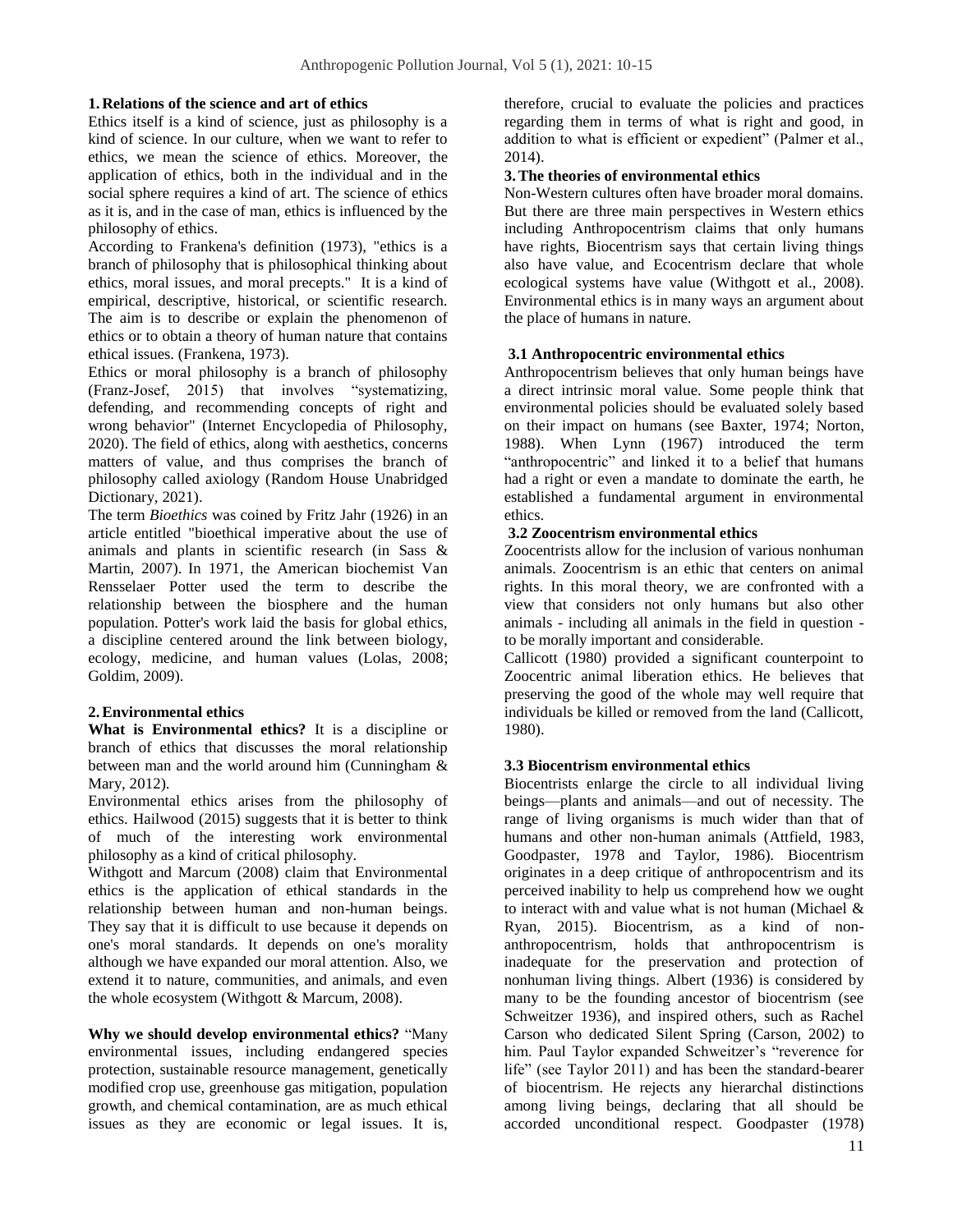## **1. Relations of the science and art of ethics**

Ethics itself is a kind of science, just as philosophy is a kind of science. In our culture, when we want to refer to ethics, we mean the science of ethics. Moreover, the application of ethics, both in the individual and in the social sphere requires a kind of art. The science of ethics as it is, and in the case of man, ethics is influenced by the philosophy of ethics.

According to Frankena's definition (1973), "ethics is a branch of philosophy that is philosophical thinking about ethics, moral issues, and moral precepts." It is a kind of empirical, descriptive, historical, or scientific research. The aim is to describe or explain the phenomenon of ethics or to obtain a theory of human nature that contains ethical issues. (Frankena, 1973).

Ethics or moral philosophy is a branch of philosophy (Franz-Josef, 2015) that involves "systematizing, defending, and recommending concepts of right and wrong behavior" (Internet Encyclopedia of Philosophy, 2020). The field of ethics, along with aesthetics, concerns matters of value, and thus comprises the branch of philosophy called axiology (Random House Unabridged Dictionary, 2021).

The term *Bioethics* was coined by Fritz Jahr (1926) in an article entitled "bioethical imperative about the use of animals and plants in scientific research (in Sass & Martin, 2007). In 1971, the American biochemist Van Rensselaer Potter used the term to describe the relationship between the biosphere and the human population. Potter's work laid the basis for global ethics, a discipline centered around the link between biology, ecology, medicine, and human values (Lolas, 2008; Goldim, 2009).

# **2.Environmental ethics**

**What is Environmental ethics?** It is a discipline or branch of ethics that discusses the moral relationship between man and the world around him (Cunningham & Mary, 2012).

Environmental ethics arises from the philosophy of ethics. Hailwood (2015) suggests that it is better to think of much of the interesting work environmental philosophy as a kind of critical philosophy.

Withgott and Marcum (2008) claim that Environmental ethics is the application of ethical standards in the relationship between human and non-human beings. They say that it is difficult to use because it depends on one's moral standards. It depends on one's morality although we have expanded our moral attention. Also, we extend it to nature, communities, and animals, and even the whole ecosystem (Withgott & Marcum, 2008).

**Why we should develop environmental ethics?** "Many environmental issues, including endangered species protection, sustainable resource management, genetically modified crop use, greenhouse gas mitigation, population growth, and chemical contamination, are as much ethical issues as they are economic or legal issues. It is,

therefore, crucial to evaluate the policies and practices regarding them in terms of what is right and good, in addition to what is efficient or expedient" (Palmer et al., 2014).

## **3.The theories of environmental ethics**

Non-Western cultures often have broader moral domains. But there are three main perspectives in Western ethics including Anthropocentrism claims that only humans have rights, Biocentrism says that certain living things also have value, and Ecocentrism declare that whole ecological systems have value (Withgott et al., 2008). Environmental ethics is in many ways an argument about the place of humans in nature.

## **3.1 Anthropocentric environmental ethics**

Anthropocentrism believes that only human beings have a direct intrinsic moral value. Some people think that environmental policies should be evaluated solely based on their impact on humans (see Baxter, 1974; Norton, 1988). When Lynn (1967) introduced the term "anthropocentric" and linked it to a belief that humans had a right or even a mandate to dominate the earth, he established a fundamental argument in environmental ethics.

## **3.2 Zoocentrism environmental ethics**

Zoocentrists allow for the inclusion of various nonhuman animals. Zoocentrism is an ethic that centers on animal rights. In this moral theory, we are confronted with a view that considers not only humans but also other animals - including all animals in the field in question to be morally important and considerable.

Callicott (1980) provided a significant counterpoint to Zoocentric animal liberation ethics. He believes that preserving the good of the whole may well require that individuals be killed or removed from the land (Callicott, 1980).

# **3.3 Biocentrism environmental ethics**

Biocentrists enlarge the circle to all individual living beings—plants and animals—and out of necessity. The range of living organisms is much wider than that of humans and other non-human animals (Attfield, 1983, Goodpaster, 1978 and Taylor, 1986). Biocentrism originates in a deep critique of anthropocentrism and its perceived inability to help us comprehend how we ought to interact with and value what is not human (Michael & Ryan, 2015). Biocentrism, as a kind of nonanthropocentrism, holds that anthropocentrism is inadequate for the preservation and protection of nonhuman living things. Albert (1936) is considered by many to be the founding ancestor of biocentrism (see Schweitzer 1936), and inspired others, such as Rachel Carson who dedicated Silent Spring (Carson, 2002) to him. Paul Taylor expanded Schweitzer's "reverence for life" (see Taylor 2011) and has been the standard-bearer of biocentrism. He rejects any hierarchal distinctions among living beings, declaring that all should be accorded unconditional respect. Goodpaster (1978)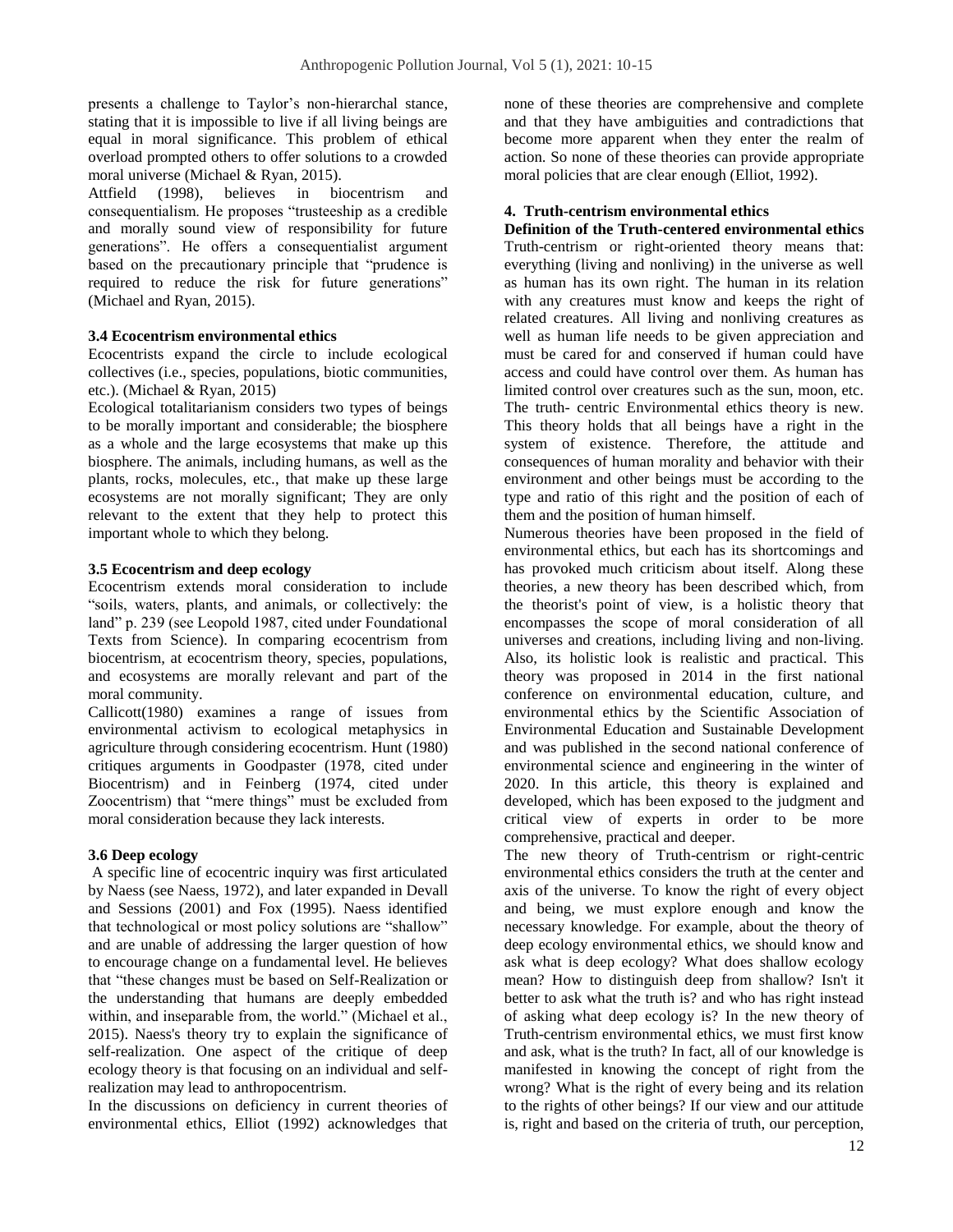presents a challenge to Taylor's non-hierarchal stance, stating that it is impossible to live if all living beings are equal in moral significance. This problem of ethical overload prompted others to offer solutions to a crowded moral universe (Michael & Ryan, 2015).

Attfield (1998), believes in biocentrism and consequentialism. He proposes "trusteeship as a credible and morally sound view of responsibility for future generations". He offers a consequentialist argument based on the precautionary principle that "prudence is required to reduce the risk for future generations" (Michael and Ryan, 2015).

#### **3.4 Ecocentrism environmental ethics**

Ecocentrists expand the circle to include ecological collectives (i.e., species, populations, biotic communities, etc.). (Michael & Ryan, 2015)

Ecological totalitarianism considers two types of beings to be morally important and considerable; the biosphere as a whole and the large ecosystems that make up this biosphere. The animals, including humans, as well as the plants, rocks, molecules, etc., that make up these large ecosystems are not morally significant; They are only relevant to the extent that they help to protect this important whole to which they belong.

#### **3.5 Ecocentrism and deep ecology**

Ecocentrism extends moral consideration to include "soils, waters, plants, and animals, or collectively: the land" p. 239 (see Leopold 1987, cited under Foundational Texts from Science). In comparing ecocentrism from biocentrism, at ecocentrism theory, species, populations, and ecosystems are morally relevant and part of the moral community.

Callicott(1980) examines a range of issues from environmental activism to ecological metaphysics in agriculture through considering ecocentrism. Hunt (1980) critiques arguments in Goodpaster (1978, cited under Biocentrism) and in Feinberg (1974, cited under Zoocentrism) that "mere things" must be excluded from moral consideration because they lack interests.

## **3.6 Deep ecology**

A specific line of ecocentric inquiry was first articulated by Naess (see Naess, 1972), and later expanded in Devall and Sessions (2001) and Fox (1995). Naess identified that technological or most policy solutions are "shallow" and are unable of addressing the larger question of how to encourage change on a fundamental level. He believes that "these changes must be based on Self-Realization or the understanding that humans are deeply embedded within, and inseparable from, the world." (Michael et al., 2015). Naess's theory try to explain the significance of self-realization. One aspect of the critique of deep ecology theory is that focusing on an individual and selfrealization may lead to anthropocentrism.

In the discussions on deficiency in current theories of environmental ethics, Elliot (1992) acknowledges that

none of these theories are comprehensive and complete and that they have ambiguities and contradictions that become more apparent when they enter the realm of action. So none of these theories can provide appropriate moral policies that are clear enough (Elliot, 1992).

#### **4. Truth-centrism environmental ethics**

**Definition of the Truth-centered environmental ethics** Truth-centrism or right-oriented theory means that: everything (living and nonliving) in the universe as well as human has its own right. The human in its relation with any creatures must know and keeps the right of related creatures. All living and nonliving creatures as well as human life needs to be given appreciation and must be cared for and conserved if human could have access and could have control over them. As human has limited control over creatures such as the sun, moon, etc. The truth- centric Environmental ethics theory is new. This theory holds that all beings have a right in the system of existence. Therefore, the attitude and consequences of human morality and behavior with their environment and other beings must be according to the type and ratio of this right and the position of each of them and the position of human himself.

Numerous theories have been proposed in the field of environmental ethics, but each has its shortcomings and has provoked much criticism about itself. Along these theories, a new theory has been described which, from the theorist's point of view, is a holistic theory that encompasses the scope of moral consideration of all universes and creations, including living and non-living. Also, its holistic look is realistic and practical. This theory was proposed in 2014 in the first national conference on environmental education, culture, and environmental ethics by the Scientific Association of Environmental Education and Sustainable Development and was published in the second national conference of environmental science and engineering in the winter of 2020. In this article, this theory is explained and developed, which has been exposed to the judgment and critical view of experts in order to be more comprehensive, practical and deeper.

The new theory of Truth-centrism or right-centric environmental ethics considers the truth at the center and axis of the universe. To know the right of every object and being, we must explore enough and know the necessary knowledge. For example, about the theory of deep ecology environmental ethics, we should know and ask what is deep ecology? What does shallow ecology mean? How to distinguish deep from shallow? Isn't it better to ask what the truth is? and who has right instead of asking what deep ecology is? In the new theory of Truth-centrism environmental ethics, we must first know and ask, what is the truth? In fact, all of our knowledge is manifested in knowing the concept of right from the wrong? What is the right of every being and its relation to the rights of other beings? If our view and our attitude is, right and based on the criteria of truth, our perception,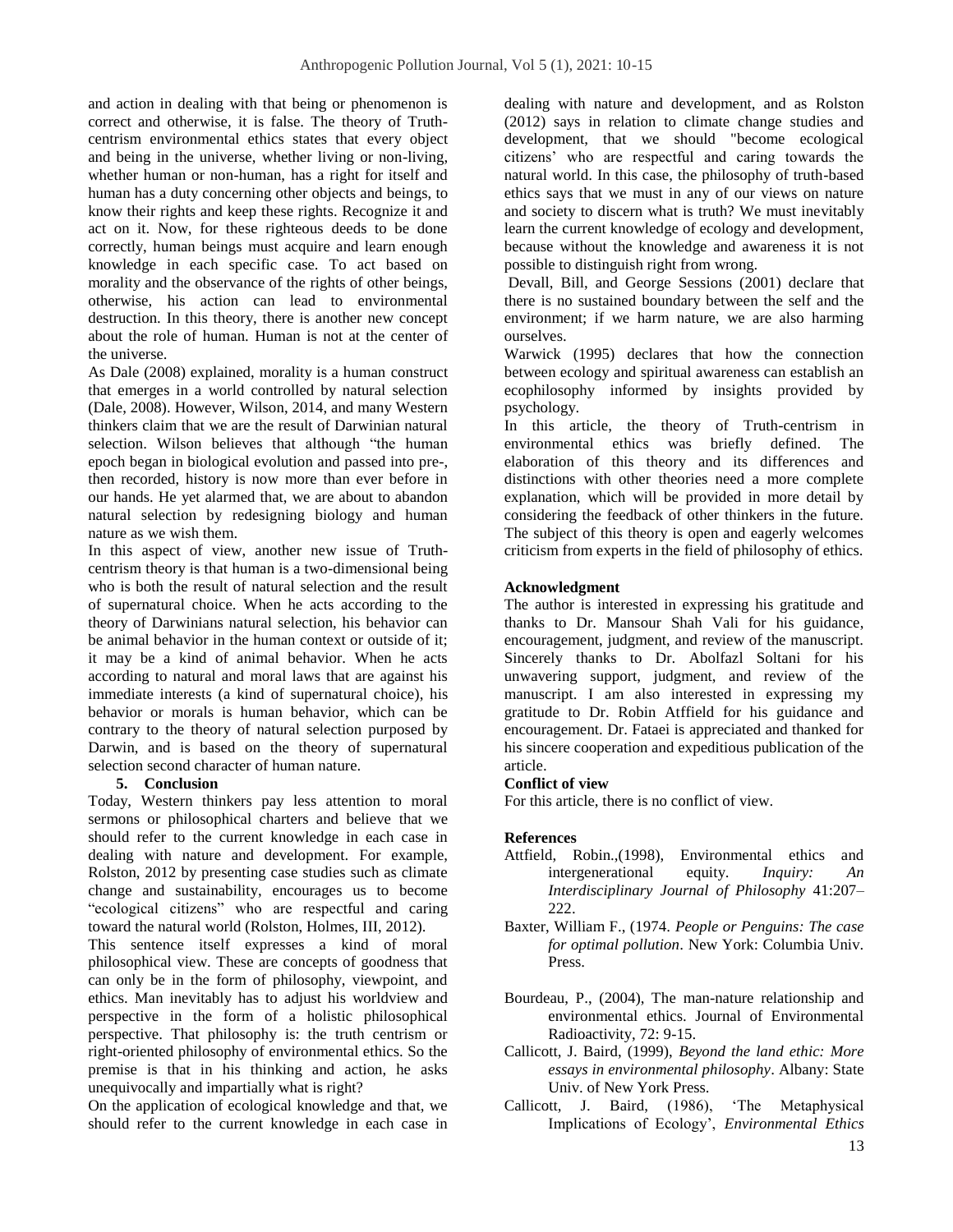and action in dealing with that being or phenomenon is correct and otherwise, it is false. The theory of Truthcentrism environmental ethics states that every object and being in the universe, whether living or non-living, whether human or non-human, has a right for itself and human has a duty concerning other objects and beings, to know their rights and keep these rights. Recognize it and act on it. Now, for these righteous deeds to be done correctly, human beings must acquire and learn enough knowledge in each specific case. To act based on morality and the observance of the rights of other beings, otherwise, his action can lead to environmental destruction. In this theory, there is another new concept about the role of human. Human is not at the center of the universe.

As Dale (2008) explained, morality is a human construct that emerges in a world controlled by natural selection (Dale, 2008). However, Wilson, 2014, and many Western thinkers claim that we are the result of Darwinian natural selection. Wilson believes that although "the human epoch began in biological evolution and passed into pre-, then recorded, history is now more than ever before in our hands. He yet alarmed that, we are about to abandon natural selection by redesigning biology and human nature as we wish them.

In this aspect of view, another new issue of Truthcentrism theory is that human is a two-dimensional being who is both the result of natural selection and the result of supernatural choice. When he acts according to the theory of Darwinians natural selection, his behavior can be animal behavior in the human context or outside of it; it may be a kind of animal behavior. When he acts according to natural and moral laws that are against his immediate interests (a kind of supernatural choice), his behavior or morals is human behavior, which can be contrary to the theory of natural selection purposed by Darwin, and is based on the theory of supernatural selection second character of human nature.

## **5. Conclusion**

Today, Western thinkers pay less attention to moral sermons or philosophical charters and believe that we should refer to the current knowledge in each case in dealing with nature and development. For example, Rolston, 2012 by presenting case studies such as climate change and sustainability, encourages us to become "ecological citizens" who are respectful and caring toward the natural world (Rolston, Holmes, III, 2012).

This sentence itself expresses a kind of moral philosophical view. These are concepts of goodness that can only be in the form of philosophy, viewpoint, and ethics. Man inevitably has to adjust his worldview and perspective in the form of a holistic philosophical perspective. That philosophy is: the truth centrism or right-oriented philosophy of environmental ethics. So the premise is that in his thinking and action, he asks unequivocally and impartially what is right?

On the application of ecological knowledge and that, we should refer to the current knowledge in each case in dealing with nature and development, and as Rolston (2012) says in relation to climate change studies and development, that we should "become ecological citizens' who are respectful and caring towards the natural world. In this case, the philosophy of truth-based ethics says that we must in any of our views on nature and society to discern what is truth? We must inevitably learn the current knowledge of ecology and development, because without the knowledge and awareness it is not possible to distinguish right from wrong.

Devall, Bill, and George Sessions (2001) declare that there is no sustained boundary between the self and the environment; if we harm nature, we are also harming ourselves.

Warwick (1995) declares that how the connection between ecology and spiritual awareness can establish an ecophilosophy informed by insights provided by psychology.

In this article, the theory of Truth-centrism in environmental ethics was briefly defined. The elaboration of this theory and its differences and distinctions with other theories need a more complete explanation, which will be provided in more detail by considering the feedback of other thinkers in the future. The subject of this theory is open and eagerly welcomes criticism from experts in the field of philosophy of ethics.

#### **Acknowledgment**

The author is interested in expressing his gratitude and thanks to Dr. Mansour Shah Vali for his guidance, encouragement, judgment, and review of the manuscript. Sincerely thanks to Dr. Abolfazl Soltani for his unwavering support, judgment, and review of the manuscript. I am also interested in expressing my gratitude to Dr. Robin Atffield for his guidance and encouragement. Dr. Fataei is appreciated and thanked for his sincere cooperation and expeditious publication of the article.

#### **Conflict of view**

For this article, there is no conflict of view.

#### **References**

- Attfield, Robin.,(1998), Environmental ethics and intergenerational equity. *Inquiry: An Interdisciplinary Journal of Philosophy* 41:207– 222.
- Baxter, William F., (1974. *People or Penguins: The case for optimal pollution*. New York: Columbia Univ. Press.
- Bourdeau, P., (2004), The man-nature relationship and environmental ethics. Journal of Environmental Radioactivity, 72: 9-15.
- Callicott, J. Baird, (1999), *Beyond the land ethic: More essays in environmental philosophy*. Albany: State Univ. of New York Press.
- Callicott, J. Baird, (1986), 'The Metaphysical Implications of Ecology', *Environmental Ethics*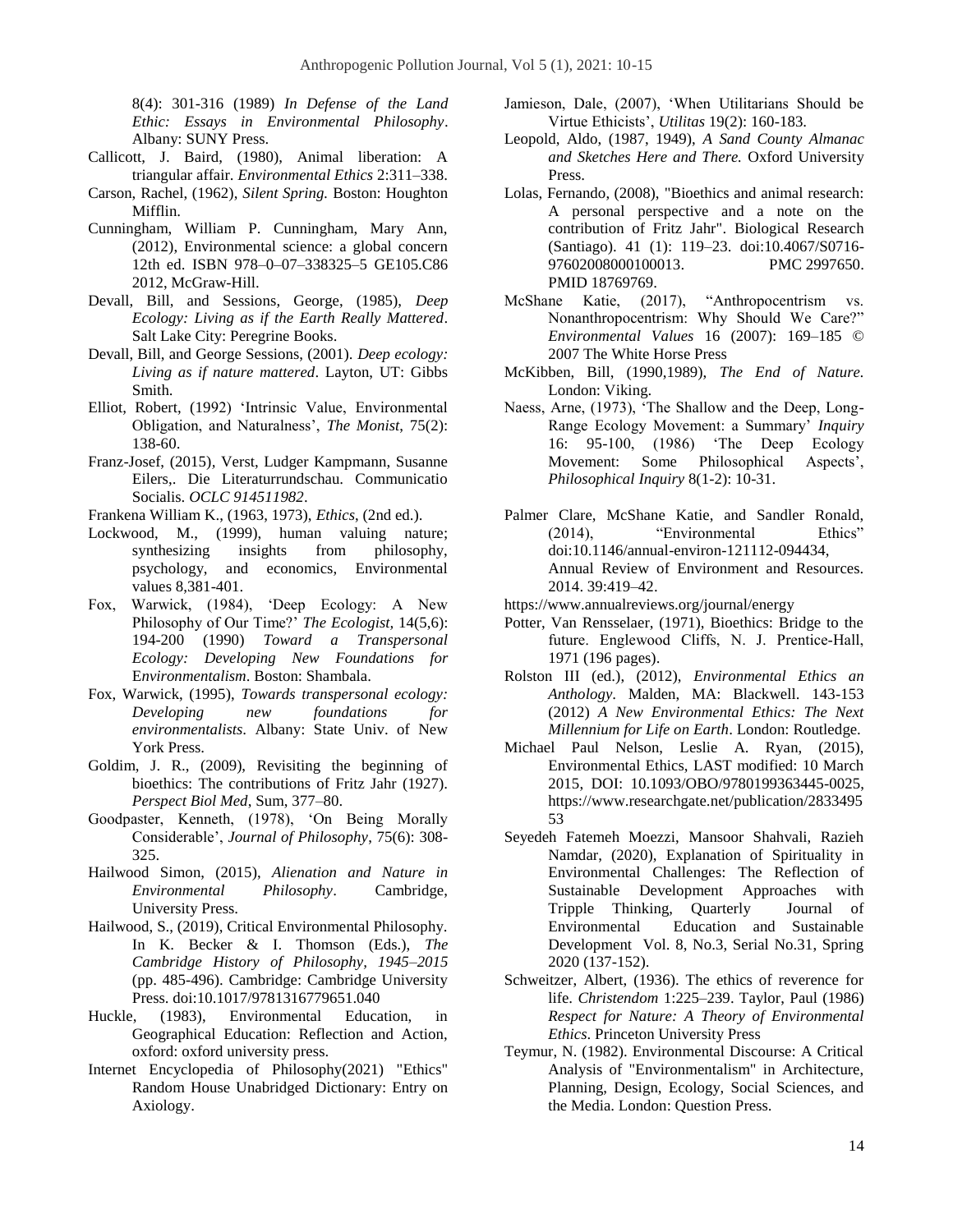8(4): 301-316 (1989) *In Defense of the Land Ethic: Essays in Environmental Philosophy*. Albany: SUNY Press.

- Callicott, J. Baird, (1980), Animal liberation: A triangular affair. *Environmental Ethics* 2:311–338.
- Carson, Rachel, (1962), *Silent Spring.* Boston: Houghton Mifflin.
- Cunningham, William P. Cunningham, Mary Ann, (2012), Environmental science: a global concern 12th ed. ISBN 978–0–07–338325–5 GE105.C86 2012, McGraw-Hill.
- Devall, Bill, and Sessions, George, (1985), *Deep Ecology: Living as if the Earth Really Mattered*. Salt Lake City: Peregrine Books.
- Devall, Bill, and George Sessions, (2001). *Deep ecology: Living as if nature mattered*. Layton, UT: Gibbs Smith.
- Elliot, Robert, (1992) 'Intrinsic Value, Environmental Obligation, and Naturalness', *The Monist*, 75(2): 138-60.
- Franz-Josef, (2015)*,* Verst, Ludger Kampmann, Susanne Eilers,. Die Literaturrundschau. Communicatio Socialis. *[OCLC](https://en.wikipedia.org/wiki/OCLC_(identifier)) [914511982](https://www.worldcat.org/oclc/914511982)*.
- Frankena William K., (1963, 1973), *Ethics*, (2nd ed.).
- Lockwood, M., (1999), human valuing nature; synthesizing insights from philosophy, psychology, and economics, Environmental values 8,381-401.
- Fox, Warwick, (1984), 'Deep Ecology: A New Philosophy of Our Time?' *The Ecologist,* 14(5,6): 194-200 (1990) *Toward a Transpersonal Ecology: Developing New Foundations for* E*nvironmentalism*. Boston: Shambala.
- Fox, Warwick, (1995), *Towards transpersonal ecology: Developing new foundations for environmentalists*. Albany: State Univ. of New York Press.
- Goldim, J. R., (2009), Revisiting the beginning of bioethics: The contributions of Fritz Jahr (1927). *Perspect Biol Med*, Sum, 377–80.
- Goodpaster, Kenneth, (1978), 'On Being Morally Considerable', *Journal of Philosophy*, 75(6): 308- 325.
- Hailwood Simon, (2015), *Alienation and Nature in Environmental Philosophy*. Cambridge, University Press.
- Hailwood, S., (2019), Critical Environmental Philosophy. In K. Becker & I. Thomson (Eds.), *The Cambridge History of Philosophy, 1945–2015* (pp. 485-496). Cambridge: Cambridge University Press. doi:10.1017/9781316779651.040<br>Huckle, (1983), Environmental Educa
- $(1983)$ , Environmental Education, in Geographical Education: Reflection and Action, oxford: oxford university press.
- Internet Encyclopedia of Philosophy(2021) ["Ethics"](http://www.iep.utm.edu/ethics/) [Random House Unabridged Dictionary:](https://en.wikipedia.org/wiki/Random_House_Unabridged_Dictionary) [Entry on](http://dictionary.reference.com/browse/axiology)  [Axiology.](http://dictionary.reference.com/browse/axiology)
- Jamieson, Dale, (2007), 'When Utilitarians Should be Virtue Ethicists', *Utilitas* 19(2): 160-183.
- Leopold, Aldo, (1987, 1949), *A Sand County Almanac and Sketches Here and There.* Oxford University Press.
- Lolas, Fernando, (2008), ["Bioethics and animal research:](https://www.ncbi.nlm.nih.gov/pmc/articles/PMC2997650)  [A personal perspective and a note on the](https://www.ncbi.nlm.nih.gov/pmc/articles/PMC2997650)  [contribution of Fritz Jahr".](https://www.ncbi.nlm.nih.gov/pmc/articles/PMC2997650) Biological Research (Santiago). 41 (1): 119–23. [doi:](https://en.wikipedia.org/wiki/Doi_(identifier))[10.4067/S0716-](https://doi.org/10.4067%2FS0716-97602008000100013) [97602008000100013.](https://doi.org/10.4067%2FS0716-97602008000100013) [PMC](https://en.wikipedia.org/wiki/PMC_(identifier)) [2997650.](https://www.ncbi.nlm.nih.gov/pmc/articles/PMC2997650) [PMID](https://en.wikipedia.org/wiki/PMID_(identifier)) [18769769.](https://pubmed.ncbi.nlm.nih.gov/18769769)
- McShane Katie, (2017), "Anthropocentrism vs. Nonanthropocentrism: Why Should We Care?" *Environmental Values* 16 (2007): 169–185 © 2007 The White Horse Press
- McKibben, Bill, (1990,1989), *The End of Nature.*  London: Viking.
- Naess, Arne, (1973), 'The Shallow and the Deep, Long-Range Ecology Movement: a Summary' *Inquiry*  16: 95-100, (1986) 'The Deep Ecology Movement: Some Philosophical Aspects', *Philosophical Inquiry* 8(1-2): 10-31.
- Palmer Clare, McShane Katie, and Sandler Ronald, (2014), "Environmental Ethics" doi:10.1146/annual-environ-121112-094434, Annual Review of Environment and Resources. 2014. 39:419–42.
- <https://www.annualreviews.org/journal/energy>
- Potter, Van Rensselaer, (1971), Bioethics: Bridge to the future. Englewood Cliffs, N. J. Prentice‐Hall, 1971 (196 pages).
- Rolston III (ed.), (2012), *Environmental Ethics an Anthology*. Malden, MA: Blackwell. 143-153 (2012) *A New Environmental Ethics: The Next Millennium for Life on Earth*. London: Routledge.
- Michael Paul Nelson, Leslie A. Ryan, (2015), Environmental Ethics, LAST modified: 10 March 2015, DOI: 10.1093/OBO/9780199363445-0025, [https://www.researchgate.net/publication/2833495](https://www.researchgate.net/publication/283349553_Environmental_Ethics?enrichId=rgreq-b479db30-b780-44fd-83bc-4df2a456b4c8&enrichSource=Y292ZXJQYWdlOzI4MzM0OTU1MztBUzoyOTA5ODE1OTg1MTUyMDBAMTQ0NjM4NjgyNzU3OQ%3D%3D&el=1_x_2) [53](https://www.researchgate.net/publication/283349553_Environmental_Ethics?enrichId=rgreq-b479db30-b780-44fd-83bc-4df2a456b4c8&enrichSource=Y292ZXJQYWdlOzI4MzM0OTU1MztBUzoyOTA5ODE1OTg1MTUyMDBAMTQ0NjM4NjgyNzU3OQ%3D%3D&el=1_x_2)
- Seyedeh Fatemeh Moezzi, Mansoor Shahvali, Razieh Namdar, (2020), Explanation of Spirituality in Environmental Challenges: The Reflection of Sustainable Development Approaches with Tripple Thinking, Quarterly Journal of Environmental Education and Sustainable Development Vol. 8, No.3, Serial No.31, Spring 2020 (137-152).
- Schweitzer, Albert, (1936). The ethics of reverence for life. *Christendom* 1:225–239. Taylor, Paul (1986) *Respect for Nature: A Theory of Environmental Ethics*. Princeton University Press
- Teymur, N. (1982). Environmental Discourse: A Critical Analysis of "Environmentalism" in Architecture, Planning, Design, Ecology, Social Sciences, and the Media. London: Question Press.